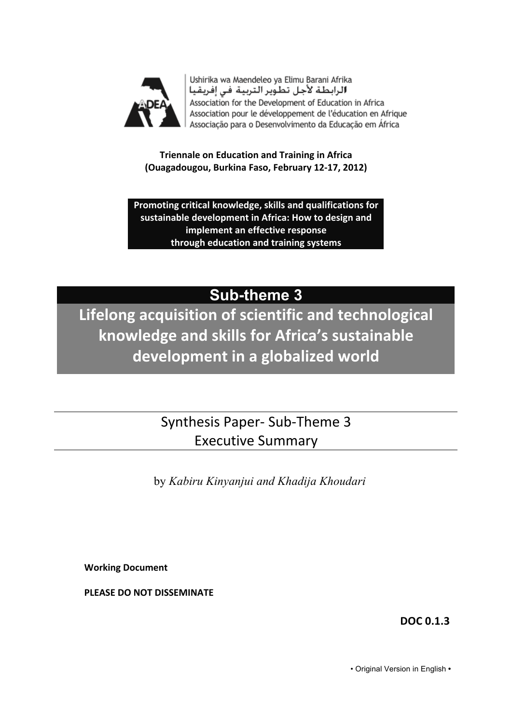

Ushirika wa Maendeleo ya Elimu Barani Afrika الرابطة لأجل تطوير التربية في إفريقيا Association for the Development of Education in Africa Association pour le développement de l'éducation en Afrique Associação para o Desenvolvimento da Educação em África

**Triennale on Education and Training in Africa (Ouagadougou,!Burkina!Faso,!February!12=17,!2012)**

Promoting critical knowledge, skills and qualifications for sustainable development in Africa: How to design and **implement an effective response through!education!and!training!systems**

# **Sub-theme 3**

**Lifelong acquisition of scientific and technological** knowledge and skills for Africa's sustainable development in a globalized world

> Synthesis Paper-Sub-Theme 3 **Executive Summary**

by *Kabiru Kinyanjui and Khadija Khoudari*

**Working!Document**

**PLEASE DO NOT DISSEMINATE** 

**DOC!0.1.3**

• Original Version in English **•**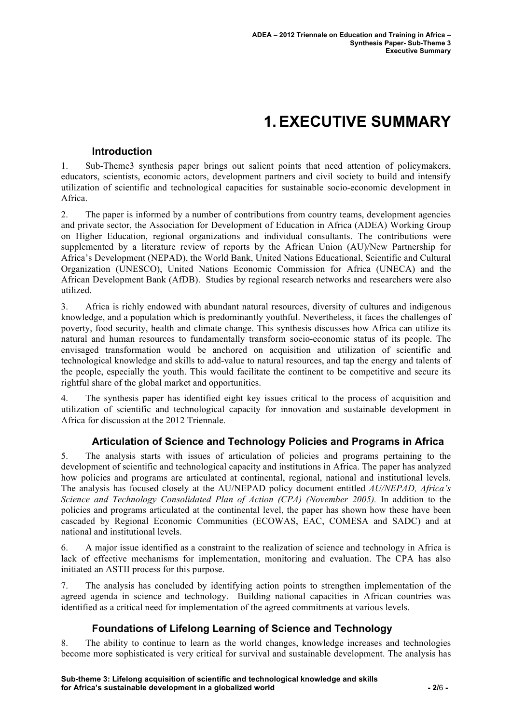# **1.EXECUTIVE SUMMARY**

#### **Introduction**

1. Sub-Theme3 synthesis paper brings out salient points that need attention of policymakers, educators, scientists, economic actors, development partners and civil society to build and intensify utilization of scientific and technological capacities for sustainable socio-economic development in Africa.

2. The paper is informed by a number of contributions from country teams, development agencies and private sector, the Association for Development of Education in Africa (ADEA) Working Group on Higher Education, regional organizations and individual consultants. The contributions were supplemented by a literature review of reports by the African Union (AU)/New Partnership for Africa's Development (NEPAD), the World Bank, United Nations Educational, Scientific and Cultural Organization (UNESCO), United Nations Economic Commission for Africa (UNECA) and the African Development Bank (AfDB). Studies by regional research networks and researchers were also utilized.

3. Africa is richly endowed with abundant natural resources, diversity of cultures and indigenous knowledge, and a population which is predominantly youthful. Nevertheless, it faces the challenges of poverty, food security, health and climate change. This synthesis discusses how Africa can utilize its natural and human resources to fundamentally transform socio-economic status of its people. The envisaged transformation would be anchored on acquisition and utilization of scientific and technological knowledge and skills to add-value to natural resources, and tap the energy and talents of the people, especially the youth. This would facilitate the continent to be competitive and secure its rightful share of the global market and opportunities.

4. The synthesis paper has identified eight key issues critical to the process of acquisition and utilization of scientific and technological capacity for innovation and sustainable development in Africa for discussion at the 2012 Triennale.

#### **Articulation of Science and Technology Policies and Programs in Africa**

5. The analysis starts with issues of articulation of policies and programs pertaining to the development of scientific and technological capacity and institutions in Africa. The paper has analyzed how policies and programs are articulated at continental, regional, national and institutional levels. The analysis has focused closely at the AU/NEPAD policy document entitled *AU/NEPAD, Africa's Science and Technology Consolidated Plan of Action (CPA) (November 2005).* In addition to the policies and programs articulated at the continental level, the paper has shown how these have been cascaded by Regional Economic Communities (ECOWAS, EAC, COMESA and SADC) and at national and institutional levels.

6. A major issue identified as a constraint to the realization of science and technology in Africa is lack of effective mechanisms for implementation, monitoring and evaluation. The CPA has also initiated an ASTII process for this purpose.

7. The analysis has concluded by identifying action points to strengthen implementation of the agreed agenda in science and technology. Building national capacities in African countries was identified as a critical need for implementation of the agreed commitments at various levels.

# **Foundations of Lifelong Learning of Science and Technology**

8. The ability to continue to learn as the world changes, knowledge increases and technologies become more sophisticated is very critical for survival and sustainable development. The analysis has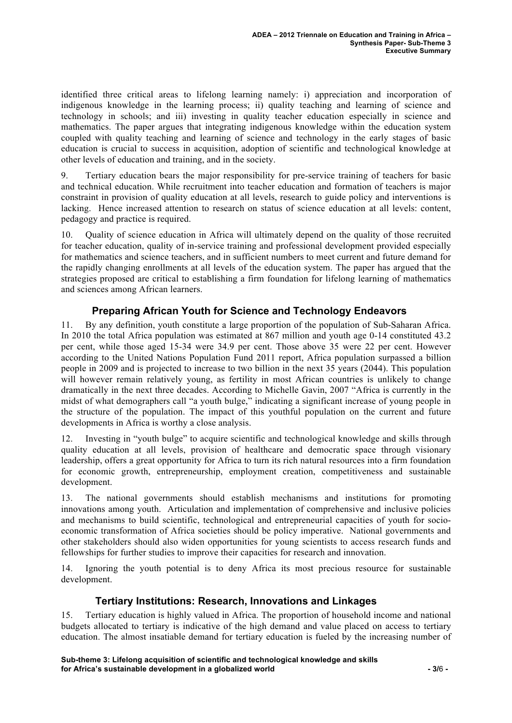identified three critical areas to lifelong learning namely: i) appreciation and incorporation of indigenous knowledge in the learning process; ii) quality teaching and learning of science and technology in schools; and iii) investing in quality teacher education especially in science and mathematics. The paper argues that integrating indigenous knowledge within the education system coupled with quality teaching and learning of science and technology in the early stages of basic education is crucial to success in acquisition, adoption of scientific and technological knowledge at other levels of education and training, and in the society.

9. Tertiary education bears the major responsibility for pre-service training of teachers for basic and technical education. While recruitment into teacher education and formation of teachers is major constraint in provision of quality education at all levels, research to guide policy and interventions is lacking. Hence increased attention to research on status of science education at all levels: content, pedagogy and practice is required.

10. Quality of science education in Africa will ultimately depend on the quality of those recruited for teacher education, quality of in-service training and professional development provided especially for mathematics and science teachers, and in sufficient numbers to meet current and future demand for the rapidly changing enrollments at all levels of the education system. The paper has argued that the strategies proposed are critical to establishing a firm foundation for lifelong learning of mathematics and sciences among African learners.

# **Preparing African Youth for Science and Technology Endeavors**

11. By any definition, youth constitute a large proportion of the population of Sub-Saharan Africa. In 2010 the total Africa population was estimated at 867 million and youth age 0-14 constituted 43.2 per cent, while those aged 15-34 were 34.9 per cent. Those above 35 were 22 per cent. However according to the United Nations Population Fund 2011 report, Africa population surpassed a billion people in 2009 and is projected to increase to two billion in the next 35 years (2044). This population will however remain relatively young, as fertility in most African countries is unlikely to change dramatically in the next three decades. According to Michelle Gavin, 2007 "Africa is currently in the midst of what demographers call "a youth bulge," indicating a significant increase of young people in the structure of the population. The impact of this youthful population on the current and future developments in Africa is worthy a close analysis.

12. Investing in "youth bulge" to acquire scientific and technological knowledge and skills through quality education at all levels, provision of healthcare and democratic space through visionary leadership, offers a great opportunity for Africa to turn its rich natural resources into a firm foundation for economic growth, entrepreneurship, employment creation, competitiveness and sustainable development.

13. The national governments should establish mechanisms and institutions for promoting innovations among youth. Articulation and implementation of comprehensive and inclusive policies and mechanisms to build scientific, technological and entrepreneurial capacities of youth for socioeconomic transformation of Africa societies should be policy imperative. National governments and other stakeholders should also widen opportunities for young scientists to access research funds and fellowships for further studies to improve their capacities for research and innovation.

14. Ignoring the youth potential is to deny Africa its most precious resource for sustainable development.

#### **Tertiary Institutions: Research, Innovations and Linkages**

15. Tertiary education is highly valued in Africa. The proportion of household income and national budgets allocated to tertiary is indicative of the high demand and value placed on access to tertiary education. The almost insatiable demand for tertiary education is fueled by the increasing number of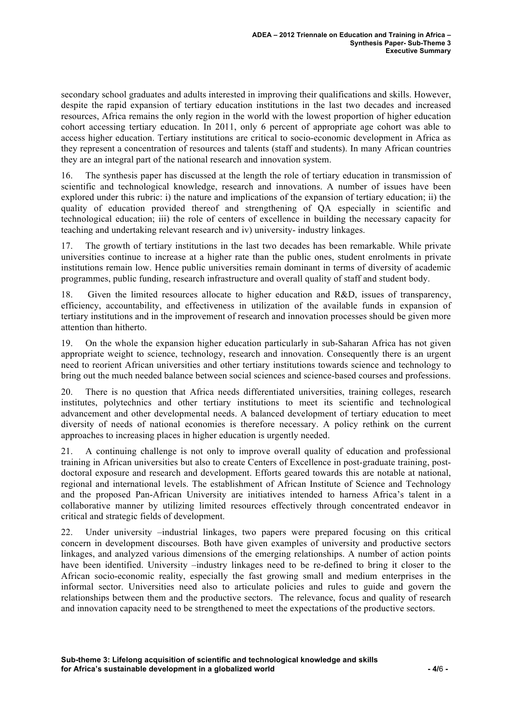secondary school graduates and adults interested in improving their qualifications and skills. However, despite the rapid expansion of tertiary education institutions in the last two decades and increased resources, Africa remains the only region in the world with the lowest proportion of higher education cohort accessing tertiary education. In 2011, only 6 percent of appropriate age cohort was able to access higher education. Tertiary institutions are critical to socio-economic development in Africa as they represent a concentration of resources and talents (staff and students). In many African countries they are an integral part of the national research and innovation system.

16. The synthesis paper has discussed at the length the role of tertiary education in transmission of scientific and technological knowledge, research and innovations. A number of issues have been explored under this rubric: i) the nature and implications of the expansion of tertiary education; ii) the quality of education provided thereof and strengthening of QA especially in scientific and technological education; iii) the role of centers of excellence in building the necessary capacity for teaching and undertaking relevant research and iv) university- industry linkages.

17. The growth of tertiary institutions in the last two decades has been remarkable. While private universities continue to increase at a higher rate than the public ones, student enrolments in private institutions remain low. Hence public universities remain dominant in terms of diversity of academic programmes, public funding, research infrastructure and overall quality of staff and student body.

18. Given the limited resources allocate to higher education and R&D, issues of transparency, efficiency, accountability, and effectiveness in utilization of the available funds in expansion of tertiary institutions and in the improvement of research and innovation processes should be given more attention than hitherto.

19. On the whole the expansion higher education particularly in sub-Saharan Africa has not given appropriate weight to science, technology, research and innovation. Consequently there is an urgent need to reorient African universities and other tertiary institutions towards science and technology to bring out the much needed balance between social sciences and science-based courses and professions.

20. There is no question that Africa needs differentiated universities, training colleges, research institutes, polytechnics and other tertiary institutions to meet its scientific and technological advancement and other developmental needs. A balanced development of tertiary education to meet diversity of needs of national economies is therefore necessary. A policy rethink on the current approaches to increasing places in higher education is urgently needed.

21. A continuing challenge is not only to improve overall quality of education and professional training in African universities but also to create Centers of Excellence in post-graduate training, postdoctoral exposure and research and development. Efforts geared towards this are notable at national, regional and international levels. The establishment of African Institute of Science and Technology and the proposed Pan-African University are initiatives intended to harness Africa's talent in a collaborative manner by utilizing limited resources effectively through concentrated endeavor in critical and strategic fields of development.

22. Under university –industrial linkages, two papers were prepared focusing on this critical concern in development discourses. Both have given examples of university and productive sectors linkages, and analyzed various dimensions of the emerging relationships. A number of action points have been identified. University –industry linkages need to be re-defined to bring it closer to the African socio-economic reality, especially the fast growing small and medium enterprises in the informal sector. Universities need also to articulate policies and rules to guide and govern the relationships between them and the productive sectors. The relevance, focus and quality of research and innovation capacity need to be strengthened to meet the expectations of the productive sectors.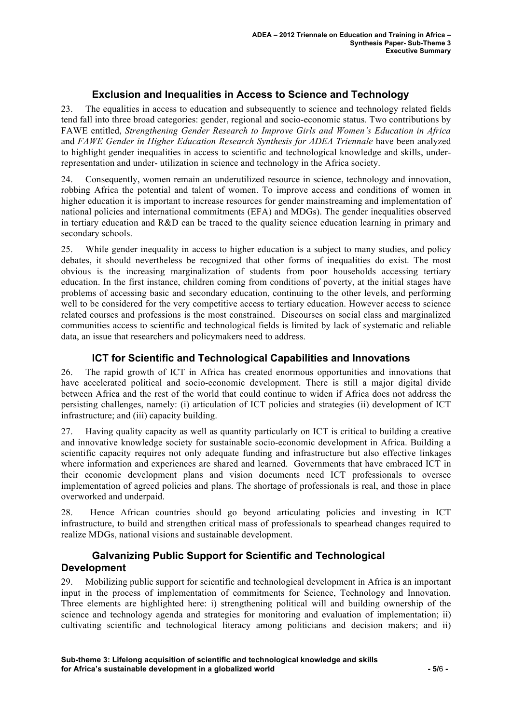## **Exclusion and Inequalities in Access to Science and Technology**

23. The equalities in access to education and subsequently to science and technology related fields tend fall into three broad categories: gender, regional and socio-economic status. Two contributions by FAWE entitled, *Strengthening Gender Research to Improve Girls and Women's Education in Africa*  and *FAWE Gender in Higher Education Research Synthesis for ADEA Triennale* have been analyzed to highlight gender inequalities in access to scientific and technological knowledge and skills, underrepresentation and under- utilization in science and technology in the Africa society.

24. Consequently, women remain an underutilized resource in science, technology and innovation, robbing Africa the potential and talent of women. To improve access and conditions of women in higher education it is important to increase resources for gender mainstreaming and implementation of national policies and international commitments (EFA) and MDGs). The gender inequalities observed in tertiary education and R&D can be traced to the quality science education learning in primary and secondary schools.

25. While gender inequality in access to higher education is a subject to many studies, and policy debates, it should nevertheless be recognized that other forms of inequalities do exist. The most obvious is the increasing marginalization of students from poor households accessing tertiary education. In the first instance, children coming from conditions of poverty, at the initial stages have problems of accessing basic and secondary education, continuing to the other levels, and performing well to be considered for the very competitive access to tertiary education. However access to science related courses and professions is the most constrained. Discourses on social class and marginalized communities access to scientific and technological fields is limited by lack of systematic and reliable data, an issue that researchers and policymakers need to address.

#### **ICT for Scientific and Technological Capabilities and Innovations**

26. The rapid growth of ICT in Africa has created enormous opportunities and innovations that have accelerated political and socio-economic development. There is still a major digital divide between Africa and the rest of the world that could continue to widen if Africa does not address the persisting challenges, namely: (i) articulation of ICT policies and strategies (ii) development of ICT infrastructure; and (iii) capacity building.

27. Having quality capacity as well as quantity particularly on ICT is critical to building a creative and innovative knowledge society for sustainable socio-economic development in Africa. Building a scientific capacity requires not only adequate funding and infrastructure but also effective linkages where information and experiences are shared and learned. Governments that have embraced ICT in their economic development plans and vision documents need ICT professionals to oversee implementation of agreed policies and plans. The shortage of professionals is real, and those in place overworked and underpaid.

28. Hence African countries should go beyond articulating policies and investing in ICT infrastructure, to build and strengthen critical mass of professionals to spearhead changes required to realize MDGs, national visions and sustainable development.

#### **Galvanizing Public Support for Scientific and Technological Development**

29. Mobilizing public support for scientific and technological development in Africa is an important input in the process of implementation of commitments for Science, Technology and Innovation. Three elements are highlighted here: i) strengthening political will and building ownership of the science and technology agenda and strategies for monitoring and evaluation of implementation; ii) cultivating scientific and technological literacy among politicians and decision makers; and ii)